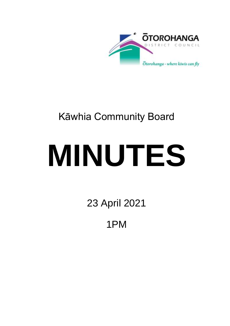

# Kāwhia Community Board

# **MINUTES**

23 April 2021

1PM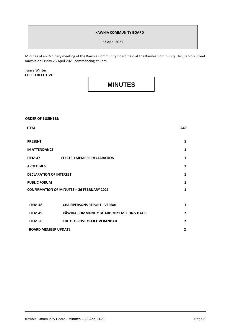#### **KĀWHIA COMMUNITY BOARD**

23 April 2021

Minutes of an Ordinary meeting of the Kāwhia Community Board held at the Kāwhia Community Hall, Jervois Street Kāwhia on Friday 23 April 2021 commencing at 1pm.

#### Tanya Winter **CHIEF EXECUTIVE**

### **MINUTES**

## **ORDER OF BUSINESS: ITEM PAGE PRESENT 1 IN ATTENDANCE 1 ITEM 47 ELECTED MEMBER DECLARATION 1 APOLOGIES 1 DECLARATION OF INTEREST 1 PUBLIC FORUM CONFIRMATION OF MINUTES – 26 FEBRUARY 2021 ITEM 48 CHAIRPERSONS REPORT - VERBAL 1 ITEM 49 KĀWHIA COMMUNITY BOARD 2021 MEETING DATES 2 ITEM 50 THE OLD POST OFFICE VERANDAH 2**

 **BOARD MEMBER UPDATE 2**

**1 1**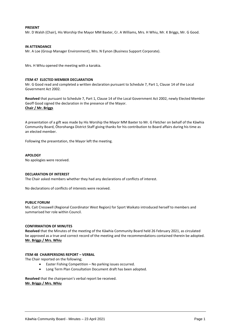#### **PRESENT**

Mr. D Walsh (Chair), His Worship the Mayor MM Baxter, Cr. A Williams, Mrs. H Whiu, Mr. K Briggs, Mr. G Good.

#### **IN ATTENDANCE**

Mr. A Loe (Group Manager Environment), Mrs. N Eynon (Business Support Corporate).

Mrs. H Whiu opened the meeting with a karakia.

#### **ITEM 47 ELECTED MEMBER DECLARATION**

Mr. G Good read and completed a written declaration pursuant to Schedule 7, Part 1, Clause 14 of the Local Government Act 2002.

**Resolved** that pursuant to Schedule 7, Part 1, Clause 14 of the Local Government Act 2002, newly Elected Member Geoff Good signed the declaration in the presence of the Mayor. **Chair / Mr. Briggs**

A presentation of a gift was made by His Worship the Mayor MM Baxter to Mr. G Fletcher on behalf of the Kāwhia Community Board, Ōtorohanga District Staff giving thanks for his contribution to Board affairs during his time as an elected member.

Following the presentation, the Mayor left the meeting.

#### **APOLOGY**

No apologies were received.

#### **DECLARATION OF INTEREST**

The Chair asked members whether they had any declarations of conflicts of interest.

No declarations of conflicts of interests were received.

#### **PUBLIC FORUM**

Ms. Cait Cresswell (Regional Coordinator West Region) for Sport Waikato introduced herself to members and summarised her role within Council.

#### **CONFIRMATION OF MINUTES**

**Resolved** that the Minutes of the meeting of the Kāwhia Community Board held 26 February 2021, as circulated be approved as a true and correct record of the meeting and the recommendations contained therein be adopted. **Mr. Briggs / Mrs. Whiu**

#### **ITEM 48 CHAIRPERSONS REPORT – VERBAL**

The Chair reported on the following;

- Easter Fishing Competition No parking issues occurred.
- Long Term Plan Consultation Document draft has been adopted.

**Resolved** that the chairperson's verbal report be received. **Mr. Briggs / Mrs. Whiu**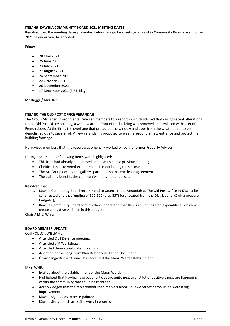#### **ITEM 49 KĀWHIA COMMUNITY BOARD 2021 MEETING DATES**

**Resolved** that the meeting dates presented below for regular meetings at Kāwhia Community Board covering the 2021 calendar year be adopted:

#### **Friday**

- 28 May 2021
- 25 June 2021
- 23 July 2021
- 27 August 2021
- 24 September 2021
- 22 October 2021
- 26 November 2021
- 17 December 2021 (3rd Friday)

#### **Mr Briggs / Mrs. Whiu**

#### **ITEM 50 THE OLD POST OFFICE VERANDAH**

The Group Manager Environmental referred members to a report in which advised that during recent alterations to the Old Post Office building, a window at the front of the building was removed and replaced with a set of French doors. At the time, the overhang that protected the window and door from the weather had to be demolished due to severe rot. A new verandah is proposed to weatherproof the new entrance and protect the building frontage.

He advised members that this report was originally worked on by the former Property Advisor.

During discussion the following items were highlighted:

- This item had already been raised and discussed in a previous meeting.
- Clarification as to whether the tenant is contributing to the costs.
- The Art Group occupy the gallery space on a short-term lease agreement.
- The building benefits the community and is a public asset.

#### **Resolved** that

- 1. Kāwhia Community Board recommend to Council that a verandah at The Old Post Office in Kāwhia be constructed and that funding of \$12,500 (plus GST) be allocated from the District and Kāwhia property budget(s);
- 2. Kāwhia Community Board confirm they understand that this is an unbudgeted expenditure (which will create a negative variance in this budget).

**Chair / Mrs. Whiu**

#### **BOARD MEMBER UPDATE**

COUNCILLOR WILLIAMS

- Attended Civil Defence meeting.
- Attended LTP Workshops.
- Attended three stakeholder meetings.
- Adoption of the Long Term Plan Draft Consultation Document.
- Ōtorohanga District Council has accepted the Māori Ward establishment.

MRS. WHIU

- Excited about the establishment of the Māori Ward.
- Highlighted that Kāwhia newspaper articles are quite negative. A lot of positive things are happening within the community that could be recorded.
- Acknowledged that the replacement road markers along Pouewe Street harbourside were a big improvement.
- Kāwhia sign needs to be re-painted.
- Kāwhia Storyboards are still a work in progress.